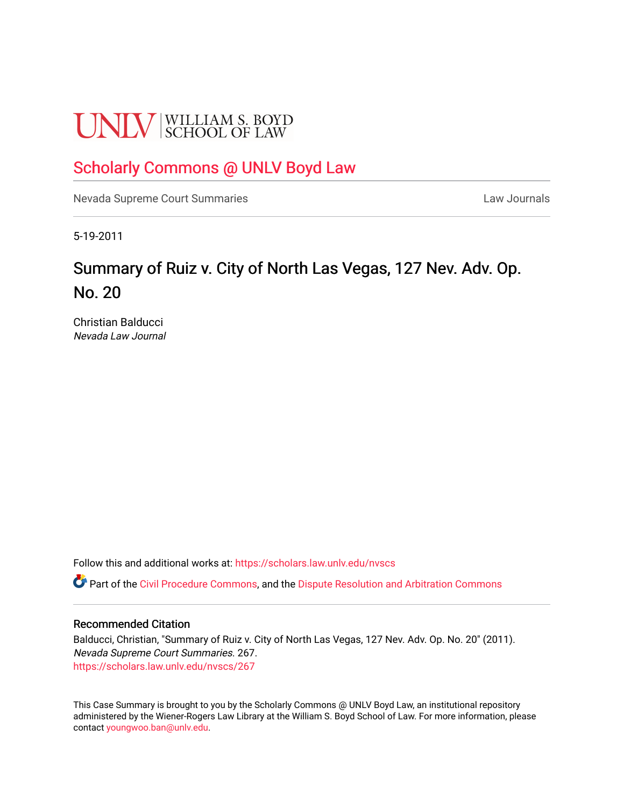# **UNLV** SCHOOL OF LAW

### [Scholarly Commons @ UNLV Boyd Law](https://scholars.law.unlv.edu/)

[Nevada Supreme Court Summaries](https://scholars.law.unlv.edu/nvscs) **Law Journals** Law Journals

5-19-2011

## Summary of Ruiz v. City of North Las Vegas, 127 Nev. Adv. Op. No. 20

Christian Balducci Nevada Law Journal

Follow this and additional works at: [https://scholars.law.unlv.edu/nvscs](https://scholars.law.unlv.edu/nvscs?utm_source=scholars.law.unlv.edu%2Fnvscs%2F267&utm_medium=PDF&utm_campaign=PDFCoverPages)

Part of the [Civil Procedure Commons,](http://network.bepress.com/hgg/discipline/584?utm_source=scholars.law.unlv.edu%2Fnvscs%2F267&utm_medium=PDF&utm_campaign=PDFCoverPages) and the Dispute Resolution and Arbitration Commons

#### Recommended Citation

Balducci, Christian, "Summary of Ruiz v. City of North Las Vegas, 127 Nev. Adv. Op. No. 20" (2011). Nevada Supreme Court Summaries. 267. [https://scholars.law.unlv.edu/nvscs/267](https://scholars.law.unlv.edu/nvscs/267?utm_source=scholars.law.unlv.edu%2Fnvscs%2F267&utm_medium=PDF&utm_campaign=PDFCoverPages)

This Case Summary is brought to you by the Scholarly Commons @ UNLV Boyd Law, an institutional repository administered by the Wiener-Rogers Law Library at the William S. Boyd School of Law. For more information, please contact [youngwoo.ban@unlv.edu](mailto:youngwoo.ban@unlv.edu).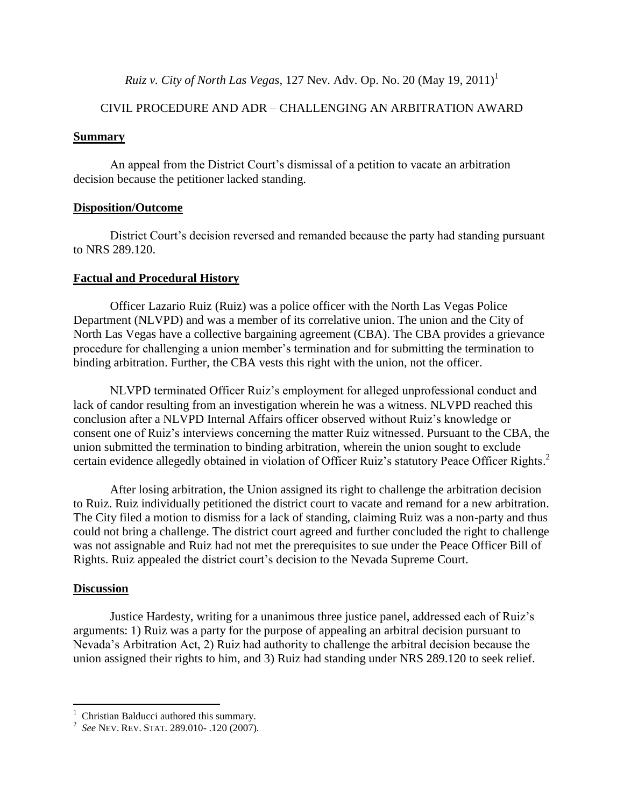*Ruiz v. City of North Las Vegas, 127 Nev. Adv. Op. No. 20 (May 19, 2011)*<sup>1</sup>

#### CIVIL PROCEDURE AND ADR – CHALLENGING AN ARBITRATION AWARD

#### **Summary**

An appeal from the District Court's dismissal of a petition to vacate an arbitration decision because the petitioner lacked standing.

#### **Disposition/Outcome**

District Court's decision reversed and remanded because the party had standing pursuant to NRS 289.120.

#### **Factual and Procedural History**

Officer Lazario Ruiz (Ruiz) was a police officer with the North Las Vegas Police Department (NLVPD) and was a member of its correlative union. The union and the City of North Las Vegas have a collective bargaining agreement (CBA). The CBA provides a grievance procedure for challenging a union member's termination and for submitting the termination to binding arbitration. Further, the CBA vests this right with the union, not the officer.

NLVPD terminated Officer Ruiz's employment for alleged unprofessional conduct and lack of candor resulting from an investigation wherein he was a witness. NLVPD reached this conclusion after a NLVPD Internal Affairs officer observed without Ruiz's knowledge or consent one of Ruiz's interviews concerning the matter Ruiz witnessed. Pursuant to the CBA, the union submitted the termination to binding arbitration, wherein the union sought to exclude certain evidence allegedly obtained in violation of Officer Ruiz's statutory Peace Officer Rights. 2

After losing arbitration, the Union assigned its right to challenge the arbitration decision to Ruiz. Ruiz individually petitioned the district court to vacate and remand for a new arbitration. The City filed a motion to dismiss for a lack of standing, claiming Ruiz was a non-party and thus could not bring a challenge. The district court agreed and further concluded the right to challenge was not assignable and Ruiz had not met the prerequisites to sue under the Peace Officer Bill of Rights. Ruiz appealed the district court's decision to the Nevada Supreme Court.

#### **Discussion**

Justice Hardesty, writing for a unanimous three justice panel, addressed each of Ruiz's arguments: 1) Ruiz was a party for the purpose of appealing an arbitral decision pursuant to Nevada's Arbitration Act, 2) Ruiz had authority to challenge the arbitral decision because the union assigned their rights to him, and 3) Ruiz had standing under NRS 289.120 to seek relief.

 1 Christian Balducci authored this summary.

<sup>2</sup> *See* NEV. REV. STAT. 289.010- .120 (2007).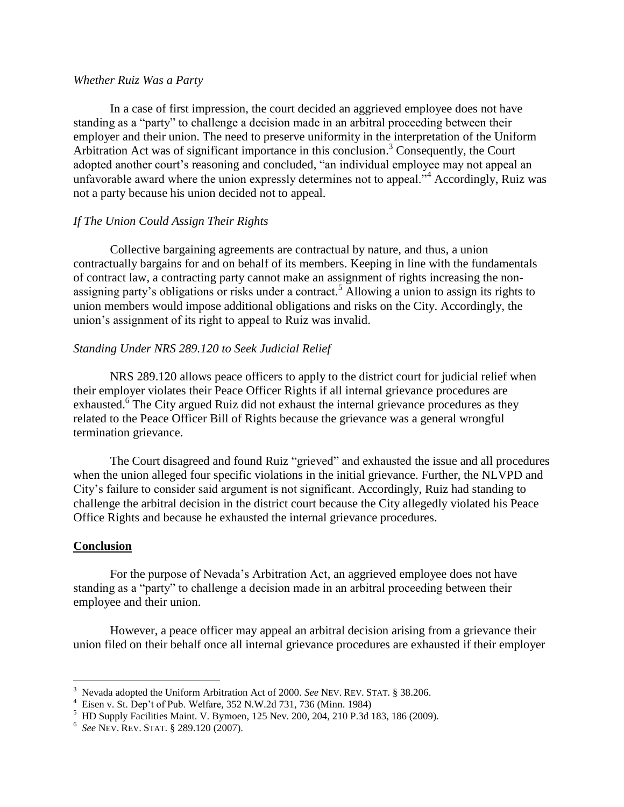#### *Whether Ruiz Was a Party*

In a case of first impression, the court decided an aggrieved employee does not have standing as a "party" to challenge a decision made in an arbitral proceeding between their employer and their union. The need to preserve uniformity in the interpretation of the Uniform Arbitration Act was of significant importance in this conclusion. <sup>3</sup> Consequently, the Court adopted another court's reasoning and concluded, "an individual employee may not appeal an unfavorable award where the union expressly determines not to appeal."<sup>4</sup> Accordingly, Ruiz was not a party because his union decided not to appeal.

#### *If The Union Could Assign Their Rights*

Collective bargaining agreements are contractual by nature, and thus, a union contractually bargains for and on behalf of its members. Keeping in line with the fundamentals of contract law, a contracting party cannot make an assignment of rights increasing the nonassigning party's obligations or risks under a contract.<sup>5</sup> Allowing a union to assign its rights to union members would impose additional obligations and risks on the City. Accordingly, the union's assignment of its right to appeal to Ruiz was invalid.

#### *Standing Under NRS 289.120 to Seek Judicial Relief*

NRS 289.120 allows peace officers to apply to the district court for judicial relief when their employer violates their Peace Officer Rights if all internal grievance procedures are exhausted.<sup>6</sup> The City argued Ruiz did not exhaust the internal grievance procedures as they related to the Peace Officer Bill of Rights because the grievance was a general wrongful termination grievance.

The Court disagreed and found Ruiz "grieved" and exhausted the issue and all procedures when the union alleged four specific violations in the initial grievance. Further, the NLVPD and City's failure to consider said argument is not significant. Accordingly, Ruiz had standing to challenge the arbitral decision in the district court because the City allegedly violated his Peace Office Rights and because he exhausted the internal grievance procedures.

#### **Conclusion**

For the purpose of Nevada's Arbitration Act, an aggrieved employee does not have standing as a "party" to challenge a decision made in an arbitral proceeding between their employee and their union.

However, a peace officer may appeal an arbitral decision arising from a grievance their union filed on their behalf once all internal grievance procedures are exhausted if their employer

 3 Nevada adopted the Uniform Arbitration Act of 2000. *See* NEV. REV. STAT. § 38.206.

<sup>4</sup> Eisen v. St. Dep't of Pub. Welfare, 352 N.W.2d 731, 736 (Minn. 1984)

<sup>5</sup> HD Supply Facilities Maint. V. Bymoen, 125 Nev. 200, 204, 210 P.3d 183, 186 (2009).

<sup>6</sup> *See* NEV. REV. STAT. § 289.120 (2007).